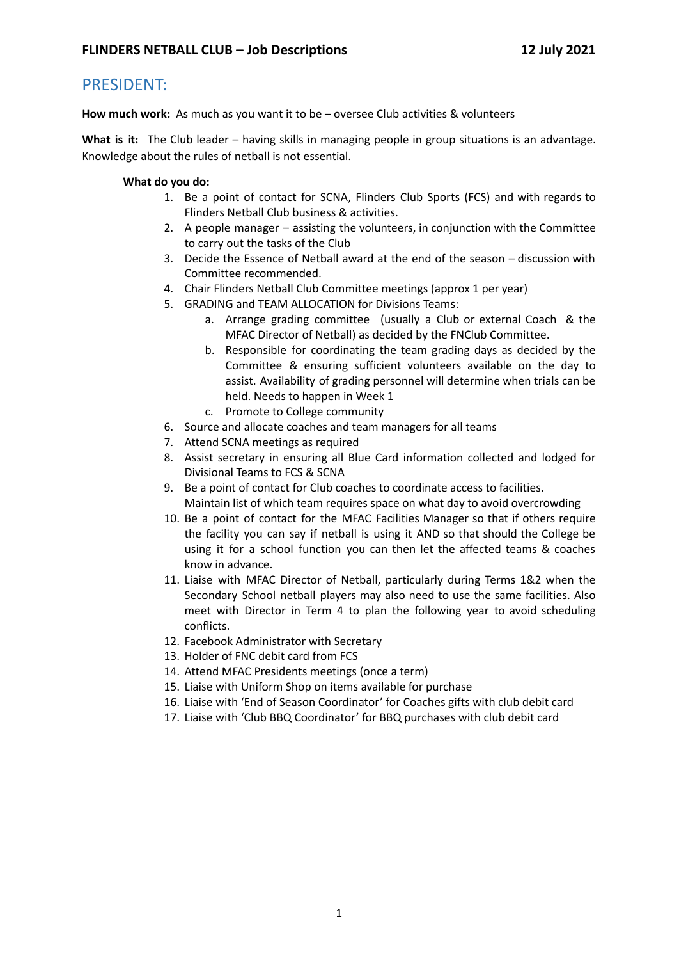### PRESIDENT:

**How much work:** As much as you want it to be – oversee Club activities & volunteers

**What is it:** The Club leader – having skills in managing people in group situations is an advantage. Knowledge about the rules of netball is not essential.

- 1. Be a point of contact for SCNA, Flinders Club Sports (FCS) and with regards to Flinders Netball Club business & activities.
- 2. A people manager assisting the volunteers, in conjunction with the Committee to carry out the tasks of the Club
- 3. Decide the Essence of Netball award at the end of the season discussion with Committee recommended.
- 4. Chair Flinders Netball Club Committee meetings (approx 1 per year)
- 5. GRADING and TEAM ALLOCATION for Divisions Teams:
	- a. Arrange grading committee (usually a Club or external Coach & the MFAC Director of Netball) as decided by the FNClub Committee.
	- b. Responsible for coordinating the team grading days as decided by the Committee & ensuring sufficient volunteers available on the day to assist. Availability of grading personnel will determine when trials can be held. Needs to happen in Week 1
	- c. Promote to College community
- 6. Source and allocate coaches and team managers for all teams
- 7. Attend SCNA meetings as required
- 8. Assist secretary in ensuring all Blue Card information collected and lodged for Divisional Teams to FCS & SCNA
- 9. Be a point of contact for Club coaches to coordinate access to facilities. Maintain list of which team requires space on what day to avoid overcrowding
- 10. Be a point of contact for the MFAC Facilities Manager so that if others require the facility you can say if netball is using it AND so that should the College be using it for a school function you can then let the affected teams & coaches know in advance.
- 11. Liaise with MFAC Director of Netball, particularly during Terms 1&2 when the Secondary School netball players may also need to use the same facilities. Also meet with Director in Term 4 to plan the following year to avoid scheduling conflicts.
- 12. Facebook Administrator with Secretary
- 13. Holder of FNC debit card from FCS
- 14. Attend MFAC Presidents meetings (once a term)
- 15. Liaise with Uniform Shop on items available for purchase
- 16. Liaise with 'End of Season Coordinator' for Coaches gifts with club debit card
- 17. Liaise with 'Club BBQ Coordinator' for BBQ purchases with club debit card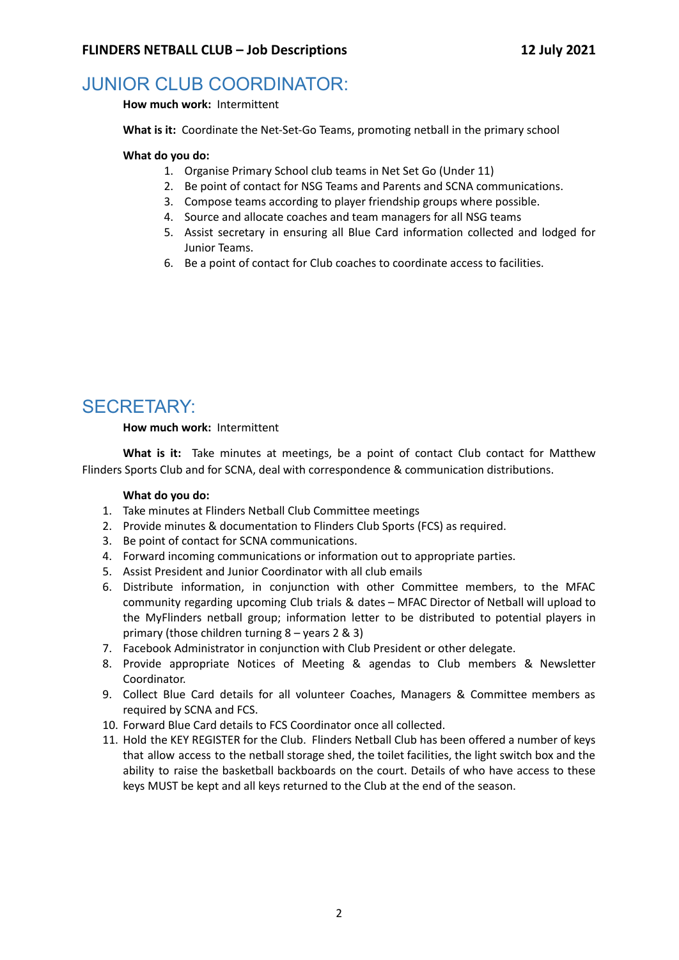## JUNIOR CLUB COORDINATOR:

**How much work:** Intermittent

**What is it:** Coordinate the Net-Set-Go Teams, promoting netball in the primary school

### **What do you do:**

- 1. Organise Primary School club teams in Net Set Go (Under 11)
- 2. Be point of contact for NSG Teams and Parents and SCNA communications.
- 3. Compose teams according to player friendship groups where possible.
- 4. Source and allocate coaches and team managers for all NSG teams
- 5. Assist secretary in ensuring all Blue Card information collected and lodged for Junior Teams.
- 6. Be a point of contact for Club coaches to coordinate access to facilities.

# SECRETARY:

### **How much work:** Intermittent

**What is it:** Take minutes at meetings, be a point of contact Club contact for Matthew Flinders Sports Club and for SCNA, deal with correspondence & communication distributions.

- 1. Take minutes at Flinders Netball Club Committee meetings
- 2. Provide minutes & documentation to Flinders Club Sports (FCS) as required.
- 3. Be point of contact for SCNA communications.
- 4. Forward incoming communications or information out to appropriate parties.
- 5. Assist President and Junior Coordinator with all club emails
- 6. Distribute information, in conjunction with other Committee members, to the MFAC community regarding upcoming Club trials & dates – MFAC Director of Netball will upload to the MyFlinders netball group; information letter to be distributed to potential players in primary (those children turning 8 – years 2 & 3)
- 7. Facebook Administrator in conjunction with Club President or other delegate.
- 8. Provide appropriate Notices of Meeting & agendas to Club members & Newsletter Coordinator.
- 9. Collect Blue Card details for all volunteer Coaches, Managers & Committee members as required by SCNA and FCS.
- 10. Forward Blue Card details to FCS Coordinator once all collected.
- 11. Hold the KEY REGISTER for the Club. Flinders Netball Club has been offered a number of keys that allow access to the netball storage shed, the toilet facilities, the light switch box and the ability to raise the basketball backboards on the court. Details of who have access to these keys MUST be kept and all keys returned to the Club at the end of the season.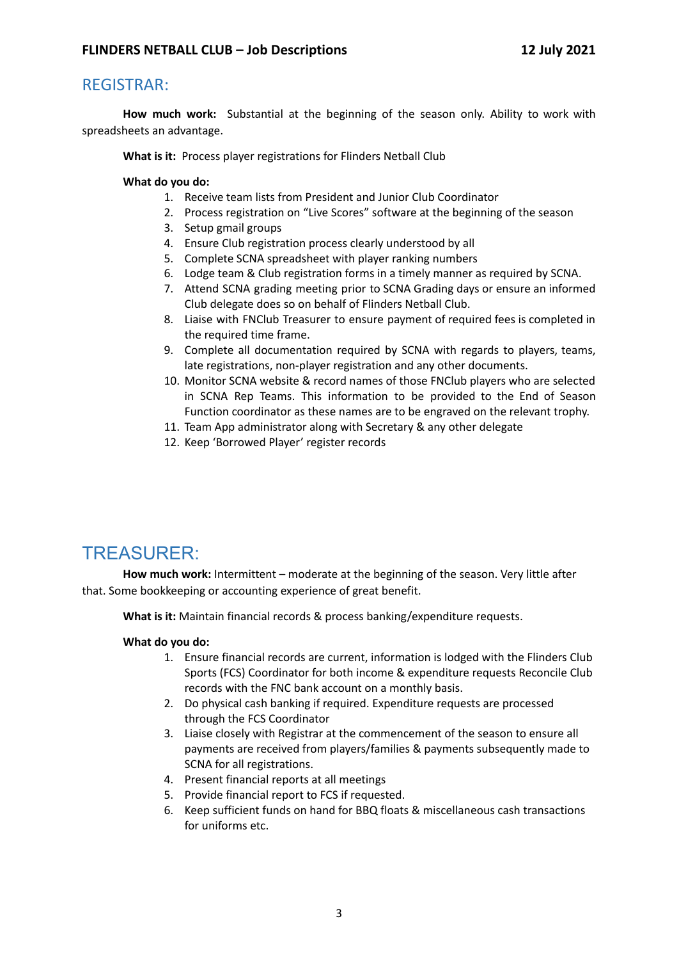### REGISTRAR:

**How much work:** Substantial at the beginning of the season only. Ability to work with spreadsheets an advantage.

**What is it:** Process player registrations for Flinders Netball Club

### **What do you do:**

- 1. Receive team lists from President and Junior Club Coordinator
- 2. Process registration on "Live Scores" software at the beginning of the season
- 3. Setup gmail groups
- 4. Ensure Club registration process clearly understood by all
- 5. Complete SCNA spreadsheet with player ranking numbers
- 6. Lodge team & Club registration forms in a timely manner as required by SCNA.
- 7. Attend SCNA grading meeting prior to SCNA Grading days or ensure an informed Club delegate does so on behalf of Flinders Netball Club.
- 8. Liaise with FNClub Treasurer to ensure payment of required fees is completed in the required time frame.
- 9. Complete all documentation required by SCNA with regards to players, teams, late registrations, non-player registration and any other documents.
- 10. Monitor SCNA website & record names of those FNClub players who are selected in SCNA Rep Teams. This information to be provided to the End of Season Function coordinator as these names are to be engraved on the relevant trophy.
- 11. Team App administrator along with Secretary & any other delegate
- 12. Keep 'Borrowed Player' register records

# TREASURER:

**How much work:** Intermittent – moderate at the beginning of the season. Very little after that. Some bookkeeping or accounting experience of great benefit.

**What is it:** Maintain financial records & process banking/expenditure requests.

- 1. Ensure financial records are current, information is lodged with the Flinders Club Sports (FCS) Coordinator for both income & expenditure requests Reconcile Club records with the FNC bank account on a monthly basis.
- 2. Do physical cash banking if required. Expenditure requests are processed through the FCS Coordinator
- 3. Liaise closely with Registrar at the commencement of the season to ensure all payments are received from players/families & payments subsequently made to SCNA for all registrations.
- 4. Present financial reports at all meetings
- 5. Provide financial report to FCS if requested.
- 6. Keep sufficient funds on hand for BBQ floats & miscellaneous cash transactions for uniforms etc.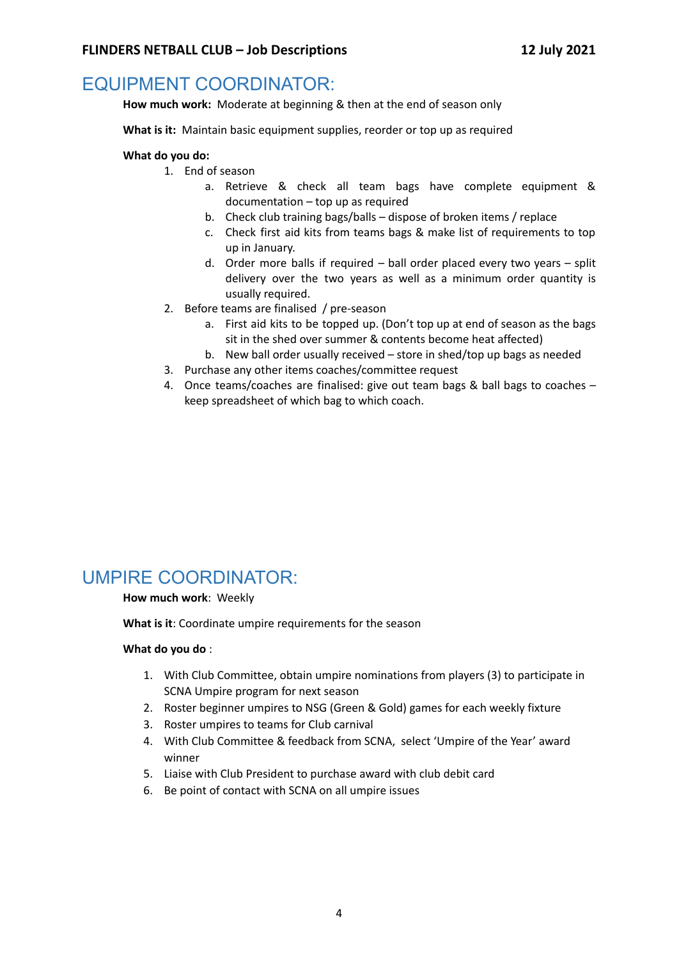### EQUIPMENT COORDINATOR:

**How much work:** Moderate at beginning & then at the end of season only

**What is it:** Maintain basic equipment supplies, reorder or top up as required

### **What do you do:**

- 1. End of season
	- a. Retrieve & check all team bags have complete equipment & documentation – top up as required
	- b. Check club training bags/balls dispose of broken items / replace
	- c. Check first aid kits from teams bags & make list of requirements to top up in January.
	- d. Order more balls if required ball order placed every two years split delivery over the two years as well as a minimum order quantity is usually required.
- 2. Before teams are finalised / pre-season
	- a. First aid kits to be topped up. (Don't top up at end of season as the bags sit in the shed over summer & contents become heat affected)
	- b. New ball order usually received store in shed/top up bags as needed
- 3. Purchase any other items coaches/committee request
- 4. Once teams/coaches are finalised: give out team bags & ball bags to coaches keep spreadsheet of which bag to which coach.

# UMPIRE COORDINATOR:

### **How much work**: Weekly

**What is it**: Coordinate umpire requirements for the season

- 1. With Club Committee, obtain umpire nominations from players (3) to participate in SCNA Umpire program for next season
- 2. Roster beginner umpires to NSG (Green & Gold) games for each weekly fixture
- 3. Roster umpires to teams for Club carnival
- 4. With Club Committee & feedback from SCNA, select 'Umpire of the Year' award winner
- 5. Liaise with Club President to purchase award with club debit card
- 6. Be point of contact with SCNA on all umpire issues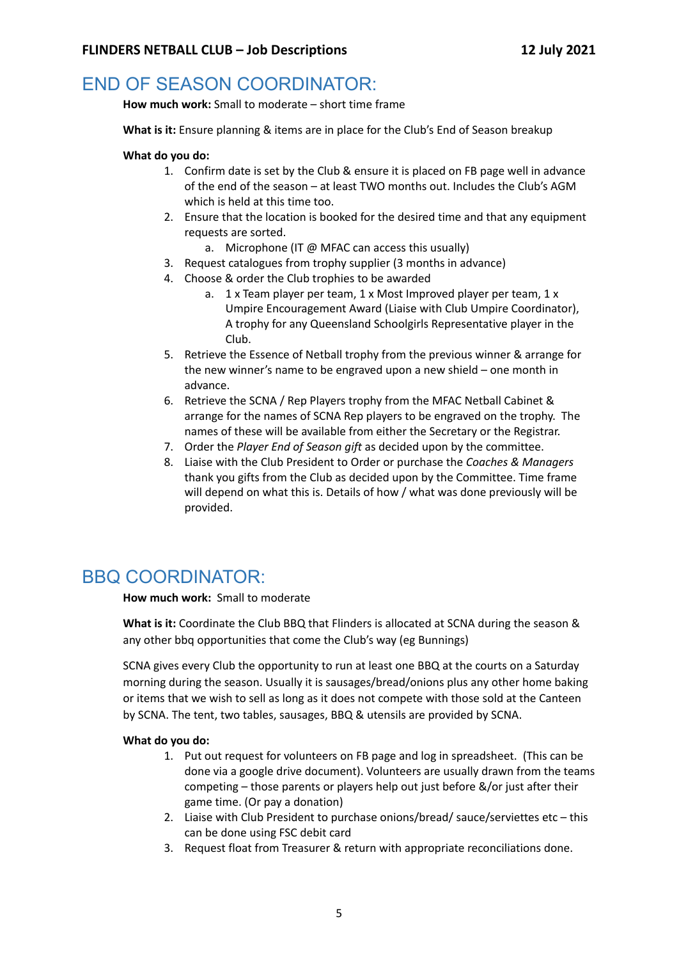# END OF SEASON COORDINATOR:

**How much work:** Small to moderate – short time frame

**What is it:** Ensure planning & items are in place for the Club's End of Season breakup

#### **What do you do:**

- 1. Confirm date is set by the Club & ensure it is placed on FB page well in advance of the end of the season – at least TWO months out. Includes the Club's AGM which is held at this time too.
- 2. Ensure that the location is booked for the desired time and that any equipment requests are sorted.
	- a. Microphone (IT @ MFAC can access this usually)
- 3. Request catalogues from trophy supplier (3 months in advance)
- 4. Choose & order the Club trophies to be awarded
	- a. 1 x Team player per team, 1 x Most Improved player per team, 1 x Umpire Encouragement Award (Liaise with Club Umpire Coordinator), A trophy for any Queensland Schoolgirls Representative player in the Club.
- 5. Retrieve the Essence of Netball trophy from the previous winner & arrange for the new winner's name to be engraved upon a new shield – one month in advance.
- 6. Retrieve the SCNA / Rep Players trophy from the MFAC Netball Cabinet & arrange for the names of SCNA Rep players to be engraved on the trophy. The names of these will be available from either the Secretary or the Registrar.
- 7. Order the *Player End of Season gift* as decided upon by the committee.
- 8. Liaise with the Club President to Order or purchase the *Coaches & Managers* thank you gifts from the Club as decided upon by the Committee. Time frame will depend on what this is. Details of how / what was done previously will be provided.

### BBQ COORDINATOR:

**How much work:** Small to moderate

**What is it:** Coordinate the Club BBQ that Flinders is allocated at SCNA during the season & any other bbq opportunities that come the Club's way (eg Bunnings)

SCNA gives every Club the opportunity to run at least one BBQ at the courts on a Saturday morning during the season. Usually it is sausages/bread/onions plus any other home baking or items that we wish to sell as long as it does not compete with those sold at the Canteen by SCNA. The tent, two tables, sausages, BBQ & utensils are provided by SCNA.

- 1. Put out request for volunteers on FB page and log in spreadsheet. (This can be done via a google drive document). Volunteers are usually drawn from the teams competing – those parents or players help out just before &/or just after their game time. (Or pay a donation)
- 2. Liaise with Club President to purchase onions/bread/ sauce/serviettes etc this can be done using FSC debit card
- 3. Request float from Treasurer & return with appropriate reconciliations done.